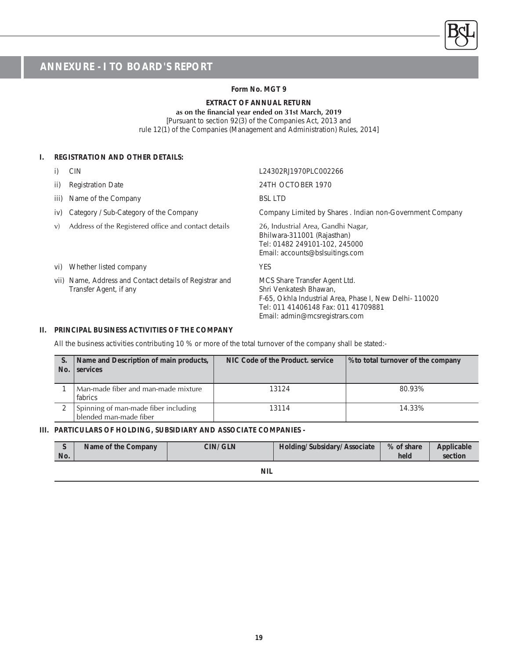#### **Form No. MGT 9**

### **EXTRACT OF ANNUAL RETURN**

#### as on the financial year ended on 31st March, 2019

[Pursuant to section 92(3) of the Companies Act, 2013 and rule 12(1) of the Companies (Management and Administration) Rules, 2014]

#### **I. REGISTRATION AND OTHER DETAILS:**

|      | <b>CIN</b>                                                                        | L24302RJ1970PLC002266                                                                                                                                                                      |
|------|-----------------------------------------------------------------------------------|--------------------------------------------------------------------------------------------------------------------------------------------------------------------------------------------|
| ii)  | <b>Registration Date</b>                                                          | 24TH OCTOBER 1970                                                                                                                                                                          |
| iii) | Name of the Company                                                               | <b>BSL LTD</b>                                                                                                                                                                             |
| iv)  | Category / Sub-Category of the Company                                            | Company Limited by Shares . Indian non-Government Company                                                                                                                                  |
| V)   | Address of the Registered office and contact details                              | 26, Industrial Area, Gandhi Nagar,<br>Bhilwara-311001 (Rajasthan)<br>Tel: 01482 249101-102, 245000<br>Email: accounts@bslsuitings.com                                                      |
| VI)  | Whether listed company                                                            | <b>YES</b>                                                                                                                                                                                 |
|      | vii) Name, Address and Contact details of Registrar and<br>Transfer Agent, if any | MCS Share Transfer Agent Ltd.<br>Shri Venkatesh Bhawan.<br>F-65, Okhla Industrial Area, Phase I, New Delhi-110020<br>Tel: 011 41406148 Fax: 011 41709881<br>Email: admin@mcsregistrars.com |

#### **II. PRINCIPAL BUSINESS ACTIVITIES OF THE COMPANY**

Ī

All the business activities contributing 10 % or more of the total turnover of the company shall be stated:-

| No. | Name and Description of main products,<br>services             | NIC Code of the Product, service | Sto total turnover of the company |
|-----|----------------------------------------------------------------|----------------------------------|-----------------------------------|
|     | Man-made fiber and man-made mixture<br>fabrics                 | 13124                            | 80.93%                            |
|     | Spinning of man-made fiber including<br>blended man-made fiber | 13114                            | 14.33%                            |

#### **III. PARTICULARS OF HOLDING, SUBSIDIARY AND ASSOCIATE COMPANIES -**

| No. | Name of the Company | CIN/ GLN | <b>Holding/Subsidary/Associate</b> | % of share<br>held | Applicable<br>section |
|-----|---------------------|----------|------------------------------------|--------------------|-----------------------|
|     |                     |          |                                    |                    |                       |

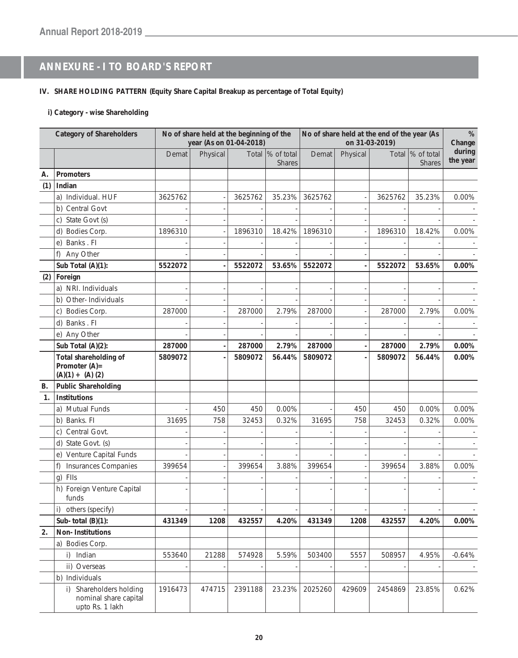#### **IV. SHARE HOLDING PATTERN (Equity Share Capital Breakup as percentage of Total Equity)**

#### **i) Category - wise Shareholding**

|     | <b>Category of Shareholders</b>                                     |         | No of share held at the beginning of the<br>year (As on 01-04-2018) |         |                                    | No of share held at the end of the year (As<br>on 31-03-2019) |          |         |                                    |                    |  | $\%$<br>Change |
|-----|---------------------------------------------------------------------|---------|---------------------------------------------------------------------|---------|------------------------------------|---------------------------------------------------------------|----------|---------|------------------------------------|--------------------|--|----------------|
|     |                                                                     | Demat   | Physical                                                            |         | Total  % of total<br><b>Shares</b> | Demat                                                         | Physical |         | Total  % of total<br><b>Shares</b> | during<br>the year |  |                |
| А.  | <b>Promoters</b>                                                    |         |                                                                     |         |                                    |                                                               |          |         |                                    |                    |  |                |
| (1) | Indian                                                              |         |                                                                     |         |                                    |                                                               |          |         |                                    |                    |  |                |
|     | a) Individual. HUF                                                  | 3625762 |                                                                     | 3625762 | 35.23%                             | 3625762                                                       |          | 3625762 | 35.23%                             | 0.00%              |  |                |
|     | b) Central Govt                                                     |         |                                                                     |         |                                    |                                                               |          |         |                                    |                    |  |                |
|     | c) State Govt (s)                                                   |         |                                                                     |         |                                    |                                                               |          |         |                                    |                    |  |                |
|     | d) Bodies Corp.                                                     | 1896310 |                                                                     | 1896310 | 18.42%                             | 1896310                                                       |          | 1896310 | 18.42%                             | 0.00%              |  |                |
|     | e) Banks . Fl                                                       |         |                                                                     |         |                                    |                                                               |          |         |                                    |                    |  |                |
|     | f)<br>Any Other                                                     |         |                                                                     |         |                                    |                                                               |          |         |                                    |                    |  |                |
|     | Sub Total (A)(1):                                                   | 5522072 |                                                                     | 5522072 | 53.65%                             | 5522072                                                       |          | 5522072 | 53.65%                             | 0.00%              |  |                |
| (2) | Foreign                                                             |         |                                                                     |         |                                    |                                                               |          |         |                                    |                    |  |                |
|     | a) NRI. Individuals                                                 |         |                                                                     |         |                                    |                                                               |          |         |                                    |                    |  |                |
|     | b) Other-Individuals                                                |         |                                                                     |         |                                    |                                                               |          |         |                                    |                    |  |                |
|     | Bodies Corp.<br>C)                                                  | 287000  |                                                                     | 287000  | 2.79%                              | 287000                                                        |          | 287000  | 2.79%                              | $0.00\%$           |  |                |
|     | d) Banks . Fl                                                       |         |                                                                     |         |                                    |                                                               |          |         |                                    |                    |  |                |
|     | e) Any Other                                                        |         |                                                                     |         |                                    |                                                               |          |         |                                    |                    |  |                |
|     | Sub Total (A)(2):                                                   | 287000  |                                                                     | 287000  | 2.79%                              | 287000                                                        |          | 287000  | 2.79%                              | $0.00\%$           |  |                |
|     | Total shareholding of<br>Promoter (A) =<br>$(A)(1) + (A)(2)$        | 5809072 |                                                                     | 5809072 | 56.44%                             | 5809072                                                       |          | 5809072 | 56.44%                             | 0.00%              |  |                |
| В.  | <b>Public Shareholding</b>                                          |         |                                                                     |         |                                    |                                                               |          |         |                                    |                    |  |                |
| 1.  | <b>Institutions</b>                                                 |         |                                                                     |         |                                    |                                                               |          |         |                                    |                    |  |                |
|     | a) Mutual Funds                                                     |         | 450                                                                 | 450     | 0.00%                              |                                                               | 450      | 450     | 0.00%                              | 0.00%              |  |                |
|     | b) Banks. FI                                                        | 31695   | 758                                                                 | 32453   | 0.32%                              | 31695                                                         | 758      | 32453   | 0.32%                              | 0.00%              |  |                |
|     | Central Govt.<br>C)                                                 |         |                                                                     |         |                                    |                                                               |          |         |                                    |                    |  |                |
|     | d) State Govt. (s)                                                  |         |                                                                     |         |                                    |                                                               |          |         |                                    |                    |  |                |
|     | e) Venture Capital Funds                                            |         |                                                                     |         |                                    |                                                               |          |         |                                    |                    |  |                |
|     | <b>Insurances Companies</b><br>f)                                   | 399654  |                                                                     | 399654  | 3.88%                              | 399654                                                        |          | 399654  | 3.88%                              | 0.00%              |  |                |
|     | FIIs<br>q)                                                          |         |                                                                     |         |                                    |                                                               |          |         |                                    |                    |  |                |
|     | h) Foreign Venture Capital<br>funds                                 |         |                                                                     |         |                                    |                                                               |          |         |                                    |                    |  |                |
|     | i)<br>others (specify)                                              |         |                                                                     |         |                                    |                                                               |          |         |                                    |                    |  |                |
|     | Sub-total $(B)(1)$ :                                                | 431349  | 1208                                                                | 432557  | 4.20%                              | 431349                                                        | 1208     | 432557  | 4.20%                              | $0.00\%$           |  |                |
| 2.  | Non-Institutions                                                    |         |                                                                     |         |                                    |                                                               |          |         |                                    |                    |  |                |
|     | a) Bodies Corp.                                                     |         |                                                                     |         |                                    |                                                               |          |         |                                    |                    |  |                |
|     | i) Indian                                                           | 553640  | 21288                                                               | 574928  | 5.59%                              | 503400                                                        | 5557     | 508957  | 4.95%                              | $-0.64%$           |  |                |
|     | ii) Overseas                                                        |         |                                                                     |         |                                    |                                                               |          |         |                                    |                    |  |                |
|     | b) Individuals                                                      |         |                                                                     |         |                                    |                                                               |          |         |                                    |                    |  |                |
|     | i) Shareholders holding<br>nominal share capital<br>upto Rs. 1 lakh | 1916473 | 474715                                                              | 2391188 | 23.23%                             | 2025260                                                       | 429609   | 2454869 | 23.85%                             | 0.62%              |  |                |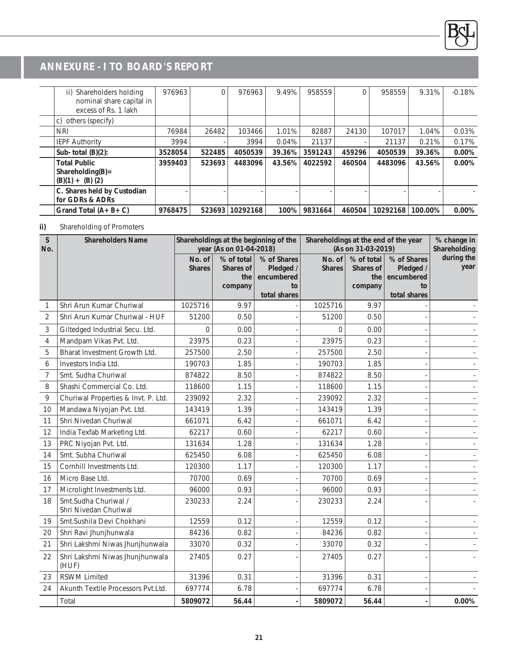| ii) Shareholders holding<br>nominal share capital in<br>excess of Rs. 1 lakh | 976963  | $\Omega$ | 976963   | 9.49%  | 958559  |        | 958559   | 9.31%   | $-0.18%$ |
|------------------------------------------------------------------------------|---------|----------|----------|--------|---------|--------|----------|---------|----------|
| others (specify)<br>C)                                                       |         |          |          |        |         |        |          |         |          |
| <b>NRI</b>                                                                   | 76984   | 26482    | 103466   | 1.01%  | 82887   | 24130  | 107017   | 1.04%   | 0.03%    |
| <b>IEPF Authority</b>                                                        | 3994    |          | 3994     | 0.04%  | 21137   |        | 21137    | 0.21%   | 0.17%    |
| Sub-total $(B)(2)$ :                                                         | 3528054 | 522485   | 4050539  | 39.36% | 3591243 | 459296 | 4050539  | 39.36%  | 0.00%    |
| <b>Total Public</b><br>$Shareholding(B) =$<br>$(B)(1) + (B)(2)$              | 3959403 | 523693   | 4483096  | 43.56% | 4022592 | 460504 | 4483096  | 43.56%  | $0.00\%$ |
| C. Shares held by Custodian<br>for GDRs & ADRs                               |         |          |          |        |         |        |          |         |          |
| Grand Total $(A + B + C)$                                                    | 9768475 | 523693   | 10292168 | 100%   | 9831664 | 460504 | 10292168 | 100.00% | 0.00%    |

### **ii)** Shareholding of Promoters

| <sub>S</sub><br>No. | <b>Shareholders Name</b>                      |                         | year (As on 01-04-2018)                   | Shareholdings at the beginning of the                        | Shareholdings at the end of the year | (As on 31-03-2019)                        |                                                              | % change in<br>Shareholding |
|---------------------|-----------------------------------------------|-------------------------|-------------------------------------------|--------------------------------------------------------------|--------------------------------------|-------------------------------------------|--------------------------------------------------------------|-----------------------------|
|                     |                                               | No. of<br><b>Shares</b> | % of total<br>Shares of<br>the<br>company | % of Shares<br>Pledged /<br>encumbered<br>to<br>total shares | No. of<br><b>Shares</b>              | % of total<br>Shares of<br>the<br>company | % of Shares<br>Pledged /<br>encumbered<br>to<br>total shares | during the<br>year          |
| 1                   | Shri Arun Kumar Churiwal                      | 1025716                 | 9.97                                      |                                                              | 1025716                              | 9.97                                      |                                                              |                             |
| $\overline{2}$      | Shri Arun Kumar Churiwal - HUF                | 51200                   | 0.50                                      |                                                              | 51200                                | 0.50                                      |                                                              |                             |
| 3                   | Giltedged Industrial Secu. Ltd.               | $\Omega$                | 0.00                                      |                                                              | $\Omega$                             | 0.00                                      |                                                              |                             |
| 4                   | Mandpam Vikas Pvt. Ltd.                       | 23975                   | 0.23                                      |                                                              | 23975                                | 0.23                                      |                                                              |                             |
| 5                   | Bharat Investment Growth Ltd.                 | 257500                  | 2.50                                      |                                                              | 257500                               | 2.50                                      |                                                              |                             |
| 6                   | Investors India Ltd.                          | 190703                  | 1.85                                      |                                                              | 190703                               | 1.85                                      |                                                              |                             |
| 7                   | Smt. Sudha Churiwal                           | 874822                  | 8.50                                      |                                                              | 874822                               | 8.50                                      |                                                              |                             |
| 8                   | Shashi Commercial Co. Ltd.                    | 118600                  | 1.15                                      |                                                              | 118600                               | 1.15                                      |                                                              |                             |
| 9                   | Churiwal Properties & Invt. P. Ltd.           | 239092                  | 2.32                                      |                                                              | 239092                               | 2.32                                      |                                                              |                             |
| 10                  | Mandawa Niyojan Pvt. Ltd.                     | 143419                  | 1.39                                      |                                                              | 143419                               | 1.39                                      |                                                              |                             |
| 11                  | Shri Nivedan Churiwal                         | 661071                  | 6.42                                      |                                                              | 661071                               | 6.42                                      |                                                              |                             |
| 12                  | India Texfab Marketing Ltd.                   | 62217                   | 0.60                                      |                                                              | 62217                                | 0.60                                      |                                                              |                             |
| 13                  | PRC Niyojan Pvt. Ltd.                         | 131634                  | 1.28                                      |                                                              | 131634                               | 1.28                                      |                                                              |                             |
| 14                  | Smt. Subha Churiwal                           | 625450                  | 6.08                                      |                                                              | 625450                               | 6.08                                      |                                                              |                             |
| 15                  | Cornhill Investments Ltd.                     | 120300                  | 1.17                                      |                                                              | 120300                               | 1.17                                      |                                                              |                             |
| 16                  | Micro Base Ltd.                               | 70700                   | 0.69                                      |                                                              | 70700                                | 0.69                                      |                                                              |                             |
| 17                  | Microlight Investments Ltd.                   | 96000                   | 0.93                                      |                                                              | 96000                                | 0.93                                      |                                                              |                             |
| 18                  | Smt.Sudha Churiwal /<br>Shri Nivedan Churiwal | 230233                  | 2.24                                      |                                                              | 230233                               | 2.24                                      |                                                              |                             |
| 19                  | Smt.Sushila Devi Chokhani                     | 12559                   | 0.12                                      |                                                              | 12559                                | 0.12                                      |                                                              |                             |
| 20                  | Shri Ravi Jhunjhunwala                        | 84236                   | 0.82                                      |                                                              | 84236                                | 0.82                                      |                                                              |                             |
| 21                  | Shri Lakshmi Niwas Jhunjhunwala               | 33070                   | 0.32                                      |                                                              | 33070                                | 0.32                                      |                                                              |                             |
| 22                  | Shri Lakshmi Niwas Jhunjhunwala<br>(HUF)      | 27405                   | 0.27                                      |                                                              | 27405                                | 0.27                                      |                                                              |                             |
| 23                  | <b>RSWM Limited</b>                           | 31396                   | 0.31                                      |                                                              | 31396                                | 0.31                                      |                                                              |                             |
| 24                  | Akunth Textile Processors Pvt.Ltd.            | 697774                  | 6.78                                      |                                                              | 697774                               | 6.78                                      |                                                              |                             |
|                     | Total                                         | 5809072                 | 56.44                                     |                                                              | 5809072                              | 56.44                                     |                                                              | 0.00%                       |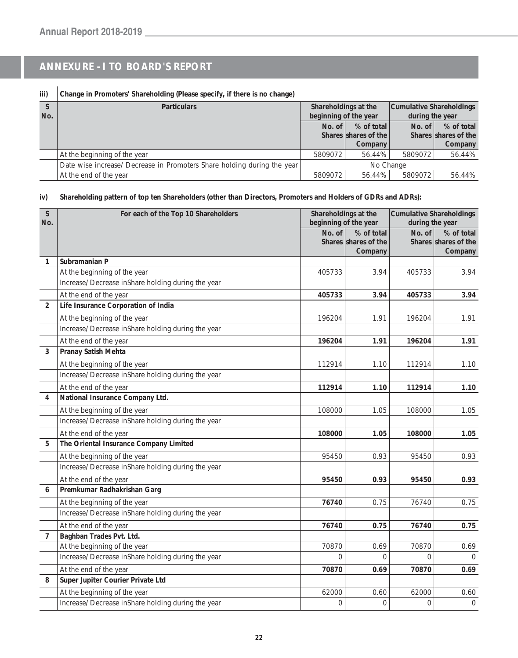### **iii) Change in Promoters' Shareholding (Please specify, if there is no change)**

| No. | <b>Particulars</b>                                                      | Shareholdings at the<br>beginning of the year |                                      | Cumulative Shareholdings<br>during the year |                                    |
|-----|-------------------------------------------------------------------------|-----------------------------------------------|--------------------------------------|---------------------------------------------|------------------------------------|
|     |                                                                         | No. of                                        | $%$ of total<br>Shares shares of the | No. of $\vert$                              | % of total<br>Shares shares of the |
|     |                                                                         |                                               | Company                              |                                             | Company                            |
|     | At the beginning of the year                                            | 5809072                                       | 56.44%                               | 5809072                                     | 56.44%                             |
|     | Date wise increase/ Decrease in Promoters Share holding during the year |                                               | No Change                            |                                             |                                    |
|     | At the end of the year                                                  | 5809072                                       | 56.44%                               | 5809072                                     | 56.44%                             |

#### **iv) Shareholding pattern of top ten Shareholders (other than Directors, Promoters and Holders of GDRs and ADRs):**

| $\mathsf{S}$<br>No. | For each of the Top 10 Shareholders                | Shareholdings at the<br>beginning of the year |                                               | <b>Cumulative Shareholdings</b><br>during the year |                                               |
|---------------------|----------------------------------------------------|-----------------------------------------------|-----------------------------------------------|----------------------------------------------------|-----------------------------------------------|
|                     |                                                    | No. of                                        | % of total<br>Shares shares of the<br>Company | No. of                                             | % of total<br>Shares shares of the<br>Company |
| $\mathbf{1}$        | Subramanian P                                      |                                               |                                               |                                                    |                                               |
|                     | At the beginning of the year                       | 405733                                        | 3.94                                          | 405733                                             | 3.94                                          |
|                     | Increase/ Decrease inShare holding during the year |                                               |                                               |                                                    |                                               |
|                     | At the end of the year                             | 405733                                        | 3.94                                          | 405733                                             | 3.94                                          |
| $\overline{2}$      | Life Insurance Corporation of India                |                                               |                                               |                                                    |                                               |
|                     | At the beginning of the year                       | 196204                                        | 1.91                                          | 196204                                             | 1.91                                          |
|                     | Increase/ Decrease inShare holding during the year |                                               |                                               |                                                    |                                               |
|                     | At the end of the year                             | 196204                                        | 1.91                                          | 196204                                             | 1.91                                          |
| 3                   | <b>Pranay Satish Mehta</b>                         |                                               |                                               |                                                    |                                               |
|                     | At the beginning of the year                       | 112914                                        | 1.10                                          | 112914                                             | 1.10                                          |
|                     | Increase/ Decrease inShare holding during the year |                                               |                                               |                                                    |                                               |
|                     | At the end of the year                             | 112914                                        | 1.10                                          | 112914                                             | 1.10                                          |
| $\overline{4}$      | National Insurance Company Ltd.                    |                                               |                                               |                                                    |                                               |
|                     | At the beginning of the year                       | 108000                                        | 1.05                                          | 108000                                             | 1.05                                          |
|                     | Increase/ Decrease inShare holding during the year |                                               |                                               |                                                    |                                               |
|                     | At the end of the year                             | 108000                                        | 1.05                                          | 108000                                             | 1.05                                          |
| 5                   | The Oriental Insurance Company Limited             |                                               |                                               |                                                    |                                               |
|                     | At the beginning of the year                       | 95450                                         | 0.93                                          | 95450                                              | 0.93                                          |
|                     | Increase/ Decrease inShare holding during the year |                                               |                                               |                                                    |                                               |
|                     | At the end of the year                             | 95450                                         | 0.93                                          | 95450                                              | 0.93                                          |
| 6                   | Premkumar Radhakrishan Garg                        |                                               |                                               |                                                    |                                               |
|                     | At the beginning of the year                       | 76740                                         | 0.75                                          | 76740                                              | 0.75                                          |
|                     | Increase/ Decrease inShare holding during the year |                                               |                                               |                                                    |                                               |
|                     | At the end of the year                             | 76740                                         | 0.75                                          | 76740                                              | 0.75                                          |
| $\overline{7}$      | Baghban Trades Pvt. Ltd.                           |                                               |                                               |                                                    |                                               |
|                     | At the beginning of the year                       | 70870                                         | 0.69                                          | 70870                                              | 0.69                                          |
|                     | Increase/ Decrease inShare holding during the year | $\overline{0}$                                | $\Omega$                                      | $\Omega$                                           | $\Omega$                                      |
|                     | At the end of the year                             | 70870                                         | 0.69                                          | 70870                                              | 0.69                                          |
| 8                   | Super Jupiter Courier Private Ltd                  |                                               |                                               |                                                    |                                               |
|                     | At the beginning of the year                       | 62000                                         | 0.60                                          | 62000                                              | 0.60                                          |
|                     | Increase/ Decrease inShare holding during the year | 0                                             | $\mathsf{O}\xspace$                           | $\mathbf 0$                                        | $\overline{0}$                                |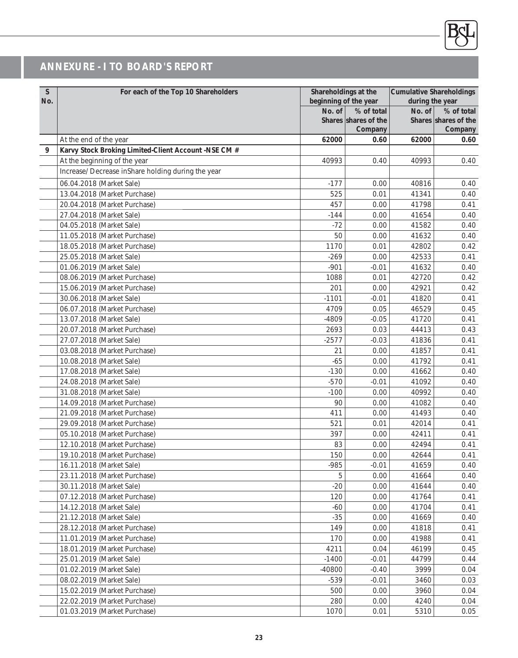

| S<br>No. | For each of the Top 10 Shareholders                      |                    | Shareholdings at the<br>beginning of the year | <b>Cumulative Shareholdings</b><br>during the year |                                               |
|----------|----------------------------------------------------------|--------------------|-----------------------------------------------|----------------------------------------------------|-----------------------------------------------|
|          |                                                          | No. of             | % of total<br>Shares shares of the<br>Company | No. of                                             | % of total<br>Shares shares of the<br>Company |
|          | At the end of the year                                   | 62000              | 0.60                                          | 62000                                              | 0.60                                          |
| 9        | Karvy Stock Broking Limited-Client Account -NSE CM #     |                    |                                               |                                                    |                                               |
|          | At the beginning of the year                             | 40993              | 0.40                                          | 40993                                              | 0.40                                          |
|          | Increase/ Decrease inShare holding during the year       |                    |                                               |                                                    |                                               |
|          | 06.04.2018 (Market Sale)                                 | $-177$             | 0.00                                          | 40816                                              | 0.40                                          |
|          | 13.04.2018 (Market Purchase)                             | 525                | 0.01                                          | 41341                                              | 0.40                                          |
|          | 20.04.2018 (Market Purchase)                             | 457                | 0.00                                          | 41798                                              | 0.41                                          |
|          | 27.04.2018 (Market Sale)                                 | $-144$             | 0.00                                          | 41654                                              | 0.40                                          |
|          | 04.05.2018 (Market Sale)                                 | $-72$              | 0.00                                          | 41582                                              | 0.40                                          |
|          | 11.05.2018 (Market Purchase)                             | 50                 | 0.00                                          | 41632                                              | 0.40                                          |
|          | 18.05.2018 (Market Purchase)                             | 1170               | 0.01                                          | 42802                                              | 0.42                                          |
|          | 25.05.2018 (Market Sale)                                 | $-269$             | 0.00                                          | 42533                                              | 0.41                                          |
|          | 01.06.2019 (Market Sale)                                 | $-901$             | $-0.01$                                       | 41632                                              | 0.40                                          |
|          | 08.06.2019 (Market Purchase)                             | 1088               | 0.01                                          | 42720                                              | 0.42                                          |
|          | 15.06.2019 (Market Purchase)                             | 201                | 0.00                                          | 42921                                              | 0.42                                          |
|          | 30.06.2018 (Market Sale)                                 | $-1101$            | $-0.01$                                       | 41820                                              | 0.41                                          |
|          | 06.07.2018 (Market Purchase)                             | 4709               | 0.05                                          | 46529                                              | 0.45                                          |
|          | 13.07.2018 (Market Sale)                                 | -4809              | $-0.05$                                       | 41720                                              | 0.41                                          |
|          | 20.07.2018 (Market Purchase)                             | 2693               | 0.03                                          | 44413                                              | 0.43                                          |
|          | 27.07.2018 (Market Sale)                                 | $-2577$            | $-0.03$                                       | 41836                                              | 0.41                                          |
|          | 03.08.2018 (Market Purchase)                             | 21                 | 0.00                                          | 41857                                              | 0.41                                          |
|          | 10.08.2018 (Market Sale)                                 | $-65$              | 0.00                                          | 41792                                              | 0.41                                          |
|          | 17.08.2018 (Market Sale)                                 | $-130$             | 0.00                                          | 41662                                              | 0.40                                          |
|          | 24.08.2018 (Market Sale)                                 | $-570$             | $-0.01$                                       | 41092                                              | 0.40                                          |
|          | 31.08.2018 (Market Sale)                                 | $-100$             | 0.00                                          | 40992                                              | 0.40                                          |
|          | 14.09.2018 (Market Purchase)                             | 90                 | 0.00                                          | 41082                                              | 0.40                                          |
|          | 21.09.2018 (Market Purchase)                             | 411                | 0.00                                          | 41493                                              | 0.40                                          |
|          | 29.09.2018 (Market Purchase)                             | 521                | 0.01                                          | 42014                                              | 0.41                                          |
|          | 05.10.2018 (Market Purchase)                             | 397                | 0.00                                          | 42411                                              | 0.41                                          |
|          | 12.10.2018 (Market Purchase)                             | 83                 | 0.00                                          | 42494                                              | 0.41                                          |
|          | 19.10.2018 (Market Purchase)                             | 150                | 0.00                                          | 42644                                              | 0.41                                          |
|          | 16.11.2018 (Market Sale)                                 | $-985$             | $-0.01$                                       | 41659                                              | 0.40                                          |
|          | 23.11.2018 (Market Purchase)                             | $\mathbf 5$        | 0.00                                          | 41664                                              | 0.40                                          |
|          | 30.11.2018 (Market Sale)                                 | $-20$              | 0.00                                          | 41644                                              | 0.40                                          |
|          | 07.12.2018 (Market Purchase)                             | 120                | 0.00                                          | 41764                                              | 0.41                                          |
|          | 14.12.2018 (Market Sale)                                 | $-60$              | 0.00                                          | 41704                                              | 0.41                                          |
|          | 21.12.2018 (Market Sale)                                 | $-35$              | 0.00                                          | 41669                                              | 0.40                                          |
|          | 28.12.2018 (Market Purchase)                             | 149                | 0.00                                          | 41818                                              | 0.41                                          |
|          | 11.01.2019 (Market Purchase)                             | 170                | 0.00                                          | 41988                                              | 0.41                                          |
|          | 18.01.2019 (Market Purchase)                             | 4211               | 0.04                                          | 46199                                              | 0.45                                          |
|          | 25.01.2019 (Market Sale)                                 | $-1400$            | $-0.01$                                       | 44799                                              | 0.44                                          |
|          | 01.02.2019 (Market Sale)                                 | $-40800$<br>$-539$ | $-0.40$<br>$-0.01$                            | 3999                                               | 0.04                                          |
|          | 08.02.2019 (Market Sale)<br>15.02.2019 (Market Purchase) | 500                | 0.00                                          | 3460<br>3960                                       | 0.03<br>0.04                                  |
|          | 22.02.2019 (Market Purchase)                             | 280                | 0.00                                          | 4240                                               | 0.04                                          |
|          | 01.03.2019 (Market Purchase)                             | 1070               | 0.01                                          | 5310                                               | 0.05                                          |
|          |                                                          |                    |                                               |                                                    |                                               |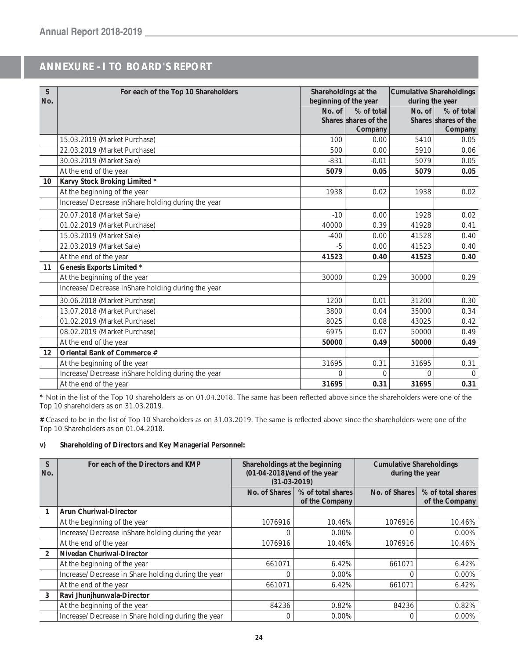| S<br>No.        | For each of the Top 10 Shareholders                | Shareholdings at the<br>beginning of the year |                      | Cumulative Shareholdings<br>during the year |                      |
|-----------------|----------------------------------------------------|-----------------------------------------------|----------------------|---------------------------------------------|----------------------|
|                 |                                                    | No. of                                        | % of total           | No. of                                      | % of total           |
|                 |                                                    |                                               | Shares shares of the |                                             | Shares shares of the |
|                 |                                                    |                                               | Company              |                                             | Company              |
|                 | 15.03.2019 (Market Purchase)                       | 100                                           | 0.00                 | 5410                                        | 0.05                 |
|                 | 22.03.2019 (Market Purchase)                       | 500                                           | 0.00                 | 5910                                        | 0.06                 |
|                 | 30.03.2019 (Market Sale)                           | $-831$                                        | $-0.01$              | 5079                                        | 0.05                 |
|                 | At the end of the year                             | 5079                                          | 0.05                 | 5079                                        | 0.05                 |
| 10 <sup>°</sup> | Karvy Stock Broking Limited *                      |                                               |                      |                                             |                      |
|                 | At the beginning of the year                       | 1938                                          | 0.02                 | 1938                                        | 0.02                 |
|                 | Increase/ Decrease inShare holding during the year |                                               |                      |                                             |                      |
|                 | 20.07.2018 (Market Sale)                           | $-10$                                         | 0.00                 | 1928                                        | 0.02                 |
|                 | 01.02.2019 (Market Purchase)                       | 40000                                         | 0.39                 | 41928                                       | 0.41                 |
|                 | 15.03.2019 (Market Sale)                           | $-400$                                        | 0.00                 | 41528                                       | 0.40                 |
|                 | 22.03.2019 (Market Sale)                           | $-5$                                          | 0.00                 | 41523                                       | 0.40                 |
|                 | At the end of the year                             | 41523                                         | 0.40                 | 41523                                       | 0.40                 |
| 11              | Genesis Exports Limited *                          |                                               |                      |                                             |                      |
|                 | At the beginning of the year                       | 30000                                         | 0.29                 | 30000                                       | 0.29                 |
|                 | Increase/ Decrease inShare holding during the year |                                               |                      |                                             |                      |
|                 | 30.06.2018 (Market Purchase)                       | 1200                                          | 0.01                 | 31200                                       | 0.30                 |
|                 | 13.07.2018 (Market Purchase)                       | 3800                                          | 0.04                 | 35000                                       | 0.34                 |
|                 | 01.02.2019 (Market Purchase)                       | 8025                                          | 0.08                 | 43025                                       | 0.42                 |
|                 | 08.02.2019 (Market Purchase)                       | 6975                                          | 0.07                 | 50000                                       | 0.49                 |
|                 | At the end of the year                             | 50000                                         | 0.49                 | 50000                                       | 0.49                 |
| 12              | Oriental Bank of Commerce #                        |                                               |                      |                                             |                      |
|                 | At the beginning of the year                       | 31695                                         | 0.31                 | 31695                                       | 0.31                 |
|                 | Increase/ Decrease inShare holding during the year | $\Omega$                                      | $\Omega$             | $\Omega$                                    | $\Omega$             |
|                 | At the end of the year                             | 31695                                         | 0.31                 | 31695                                       | 0.31                 |

\* Not in the list of the Top 10 shareholders as on 01.04.2018. The same has been reflected above since the shareholders were one of the Top 10 shareholders as on 31.03.2019.

# Ceased to be in the list of Top 10 Shareholders as on 31.03.2019. The same is reflected above since the shareholders were one of the Top 10 Shareholders as on 01.04.2018.

#### **v) Shareholding of Directors and Key Managerial Personnel:**

| S<br>No.       | For each of the Directors and KMP                   | Shareholdings at the beginning<br>(01-04-2018)/end of the year<br>$(31-03-2019)$ |                                     | <b>Cumulative Shareholdings</b><br>during the year |                                     |
|----------------|-----------------------------------------------------|----------------------------------------------------------------------------------|-------------------------------------|----------------------------------------------------|-------------------------------------|
|                |                                                     | No. of Shares                                                                    | % of total shares<br>of the Company | No. of Shares                                      | % of total shares<br>of the Company |
|                | <b>Arun Churiwal-Director</b>                       |                                                                                  |                                     |                                                    |                                     |
|                | At the beginning of the year                        | 1076916                                                                          | 10.46%                              | 1076916                                            | 10.46%                              |
|                | Increase/ Decrease inShare holding during the year  | 0                                                                                | 0.00%                               |                                                    | 0.00%                               |
|                | At the end of the year                              | 1076916                                                                          | 10.46%                              | 1076916                                            | 10.46%                              |
| $\overline{2}$ | Nivedan Churiwal-Director                           |                                                                                  |                                     |                                                    |                                     |
|                | At the beginning of the year                        | 661071                                                                           | 6.42%                               | 661071                                             | 6.42%                               |
|                | Increase/ Decrease in Share holding during the year | 0                                                                                | 0.00%                               |                                                    | 0.00%                               |
|                | At the end of the year                              | 661071                                                                           | 6.42%                               | 661071                                             | 6.42%                               |
| 3              | Ravi Jhunjhunwala-Director                          |                                                                                  |                                     |                                                    |                                     |
|                | At the beginning of the year                        | 84236                                                                            | 0.82%                               | 84236                                              | 0.82%                               |
|                | Increase/ Decrease in Share holding during the year | 0                                                                                | $0.00\%$                            |                                                    | 0.00%                               |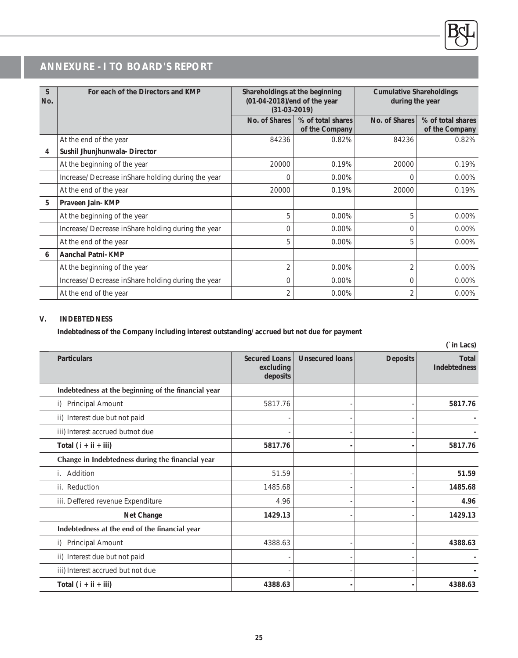| S<br>No. | For each of the Directors and KMP                  | Shareholdings at the beginning<br>(01-04-2018)/end of the year<br>$(31-03-2019)$ |                                     | <b>Cumulative Shareholdings</b><br>during the year |                                     |
|----------|----------------------------------------------------|----------------------------------------------------------------------------------|-------------------------------------|----------------------------------------------------|-------------------------------------|
|          |                                                    | No. of Shares                                                                    | % of total shares<br>of the Company | No. of Shares                                      | % of total shares<br>of the Company |
|          | At the end of the year                             | 84236                                                                            | 0.82%                               | 84236                                              | 0.82%                               |
| 4        | Sushil Jhunjhunwala- Director                      |                                                                                  |                                     |                                                    |                                     |
|          | At the beginning of the year                       | 20000                                                                            | 0.19%                               | 20000                                              | 0.19%                               |
|          | Increase/ Decrease inShare holding during the year | $\Omega$                                                                         | $0.00\%$                            | $\Omega$                                           | 0.00%                               |
|          | At the end of the year                             | 20000                                                                            | 0.19%                               | 20000                                              | 0.19%                               |
| 5        | Praveen Jain- KMP                                  |                                                                                  |                                     |                                                    |                                     |
|          | At the beginning of the year                       | 5                                                                                | 0.00%                               | 5                                                  | 0.00%                               |
|          | Increase/ Decrease inShare holding during the year | $\Omega$                                                                         | $0.00\%$                            | $\Omega$                                           | $0.00\%$                            |
|          | At the end of the year                             | 5                                                                                | 0.00%                               | 5                                                  | 0.00%                               |
| 6        | Aanchal Patni- KMP                                 |                                                                                  |                                     |                                                    |                                     |
|          | At the beginning of the year                       | 2                                                                                | $0.00\%$                            |                                                    | $0.00\%$                            |
|          | Increase/ Decrease inShare holding during the year | $\overline{0}$                                                                   | 0.00%                               | $\Omega$                                           | 0.00%                               |
|          | At the end of the year                             | 2                                                                                | $0.00\%$                            | 2                                                  | 0.00%                               |

#### **V. INDEBTEDNESS**

**Indebtedness of the Company including interest outstanding/ accrued but not due for payment**

| (`in Lacs)                                          |                                               |                        |                 |                                     |
|-----------------------------------------------------|-----------------------------------------------|------------------------|-----------------|-------------------------------------|
| <b>Particulars</b>                                  | <b>Secured Loans</b><br>excluding<br>deposits | <b>Unsecured loans</b> | <b>Deposits</b> | <b>Total</b><br><b>Indebtedness</b> |
| Indebtedness at the beginning of the financial year |                                               |                        |                 |                                     |
| <b>Principal Amount</b><br>i)                       | 5817.76                                       |                        |                 | 5817.76                             |
| ii) Interest due but not paid                       |                                               |                        |                 |                                     |
| iii) Interest accrued butnot due                    |                                               |                        |                 |                                     |
| Total $(i + ii + iii)$                              | 5817.76                                       |                        |                 | 5817.76                             |
| Change in Indebtedness during the financial year    |                                               |                        |                 |                                     |
| Addition                                            | 51.59                                         |                        |                 | 51.59                               |
| ii. Reduction                                       | 1485.68                                       |                        |                 | 1485.68                             |
| iii. Deffered revenue Expenditure                   | 4.96                                          |                        |                 | 4.96                                |
| Net Change                                          | 1429.13                                       |                        |                 | 1429.13                             |
| Indebtedness at the end of the financial year       |                                               |                        |                 |                                     |
| Principal Amount<br>i)                              | 4388.63                                       |                        |                 | 4388.63                             |
| ii) Interest due but not paid                       |                                               |                        |                 |                                     |
| iii) Interest accrued but not due                   |                                               |                        |                 |                                     |
| Total $(i + ii + iii)$                              | 4388.63                                       |                        |                 | 4388.63                             |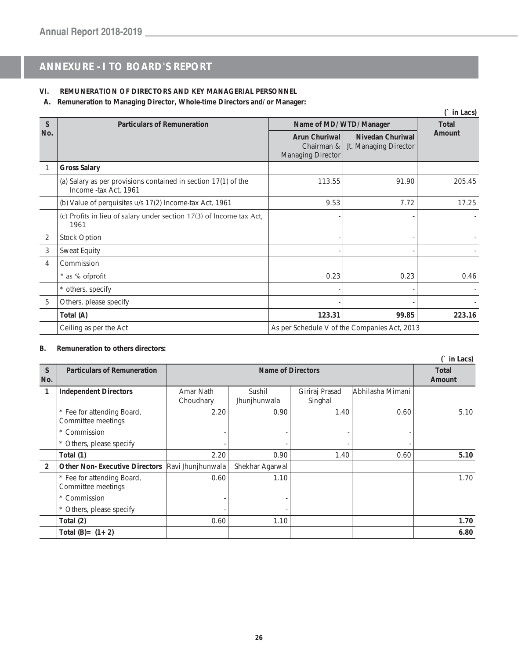### **VI. REMUNERATION OF DIRECTORS AND KEY MANAGERIAL PERSONNEL**

**A. Remuneration to Managing Director, Whole-time Directors and/ or Manager:**

|               | (` in Lacs)                                                                             |                                                         |                                                  |        |  |  |
|---------------|-----------------------------------------------------------------------------------------|---------------------------------------------------------|--------------------------------------------------|--------|--|--|
| $\mathcal{S}$ | <b>Particulars of Remuneration</b>                                                      | Name of MD/ WTD/ Manager                                | <b>Total</b>                                     |        |  |  |
| No.           |                                                                                         | Arun Churiwal<br>Chairman &<br><b>Managing Director</b> | <b>Nivedan Churiwal</b><br>Jt. Managing Director | Amount |  |  |
|               | <b>Gross Salary</b>                                                                     |                                                         |                                                  |        |  |  |
|               | (a) Salary as per provisions contained in section 17(1) of the<br>Income -tax Act, 1961 | 113.55                                                  | 91.90                                            | 205.45 |  |  |
|               | (b) Value of perquisites u/s 17(2) Income-tax Act, 1961                                 | 9.53                                                    | 7.72                                             | 17.25  |  |  |
|               | (c) Profits in lieu of salary under section 17(3) of lncome tax Act,<br>1961            |                                                         |                                                  |        |  |  |
| 2             | <b>Stock Option</b>                                                                     |                                                         |                                                  |        |  |  |
| 3             | Sweat Equity                                                                            |                                                         |                                                  |        |  |  |
| 4             | Commission                                                                              |                                                         |                                                  |        |  |  |
|               | * as % of profit                                                                        | 0.23                                                    | 0.23                                             | 0.46   |  |  |
|               | * others, specify                                                                       |                                                         |                                                  |        |  |  |
| 5             | Others, please specify                                                                  |                                                         |                                                  |        |  |  |
|               | Total (A)                                                                               | 123.31                                                  | 99.85                                            | 223.16 |  |  |
|               | Ceiling as per the Act                                                                  | As per Schedule V of the Companies Act, 2013            |                                                  |        |  |  |

#### **B. Remuneration to others directors:**

|                     | (` in Lacs)                                      |                        |                        |                           |                  |                        |
|---------------------|--------------------------------------------------|------------------------|------------------------|---------------------------|------------------|------------------------|
| <sub>S</sub><br>No. | <b>Particulars of Remuneration</b>               | Name of Directors      |                        |                           |                  | <b>Total</b><br>Amount |
| 1                   | <b>Independent Directors</b>                     | Amar Nath<br>Choudhary | Sushil<br>Jhunjhunwala | Giriraj Prasad<br>Singhal | Abhilasha Mimani |                        |
|                     | * Fee for attending Board,<br>Committee meetings | 2.20                   | 0.90                   | 1.40                      | 0.60             | 5.10                   |
|                     | * Commission                                     |                        |                        |                           |                  |                        |
|                     | * Others, please specify                         |                        |                        |                           |                  |                        |
|                     | Total (1)                                        | 2.20                   | 0.90                   | 1.40                      | 0.60             | 5.10                   |
| 2                   | <b>Other Non-Executive Directors</b>             | Ravi Jhunjhunwala      | Shekhar Agarwal        |                           |                  |                        |
|                     | * Fee for attending Board,<br>Committee meetings | 0.60                   | 1.10                   |                           |                  | 1.70                   |
|                     | * Commission                                     |                        |                        |                           |                  |                        |
|                     | * Others, please specify                         |                        |                        |                           |                  |                        |
|                     | Total (2)                                        | 0.60                   | 1.10                   |                           |                  | 1.70                   |
|                     | Total $(B) = (1 + 2)$                            |                        |                        |                           |                  | 6.80                   |